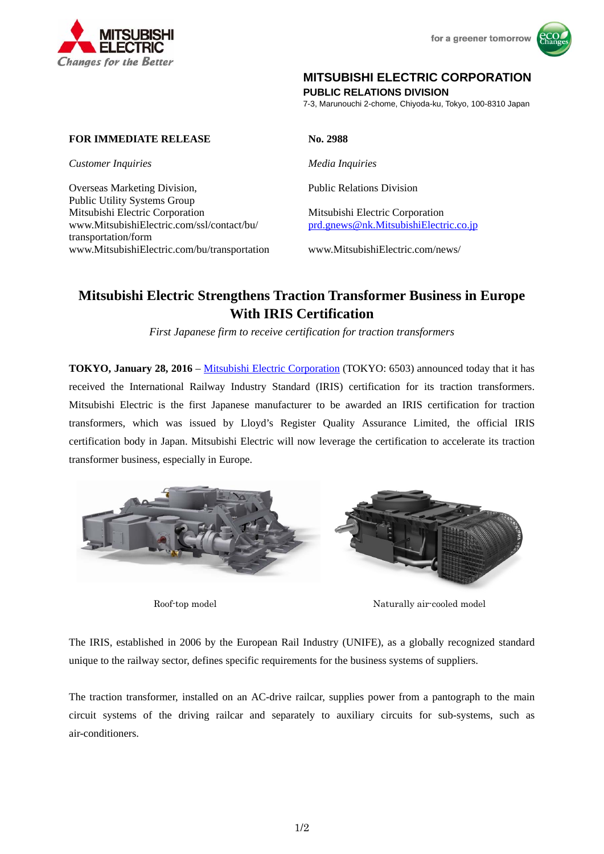



# **MITSUBISHI ELECTRIC CORPORATION**

**PUBLIC RELATIONS DIVISION** 

7-3, Marunouchi 2-chome, Chiyoda-ku, Tokyo, 100-8310 Japan

## **FOR IMMEDIATE RELEASE No. 2988**

*Customer Inquiries Media Inquiries*

Overseas Marketing Division, Public Relations Division Public Utility Systems Group Mitsubishi Electric Corporation Mitsubishi Electric Corporation www.MitsubishiElectric.com/ssl/contact/bu/ transportation/form www.MitsubishiElectric.com/bu/transportation www.MitsubishiElectric.com/news/

prd.gnews@nk.MitsubishiElectric.co.jp

# **Mitsubishi Electric Strengthens Traction Transformer Business in Europe With IRIS Certification**

*First Japanese firm to receive certification for traction transformers* 

**TOKYO, January 28, 2016** – Mitsubishi Electric Corporation (TOKYO: 6503) announced today that it has received the International Railway Industry Standard (IRIS) certification for its traction transformers. Mitsubishi Electric is the first Japanese manufacturer to be awarded an IRIS certification for traction transformers, which was issued by Lloyd's Register Quality Assurance Limited, the official IRIS certification body in Japan. Mitsubishi Electric will now leverage the certification to accelerate its traction transformer business, especially in Europe.



Roof-top model Naturally air-cooled model

The IRIS, established in 2006 by the European Rail Industry (UNIFE), as a globally recognized standard unique to the railway sector, defines specific requirements for the business systems of suppliers.

The traction transformer, installed on an AC-drive railcar, supplies power from a pantograph to the main circuit systems of the driving railcar and separately to auxiliary circuits for sub-systems, such as air-conditioners.